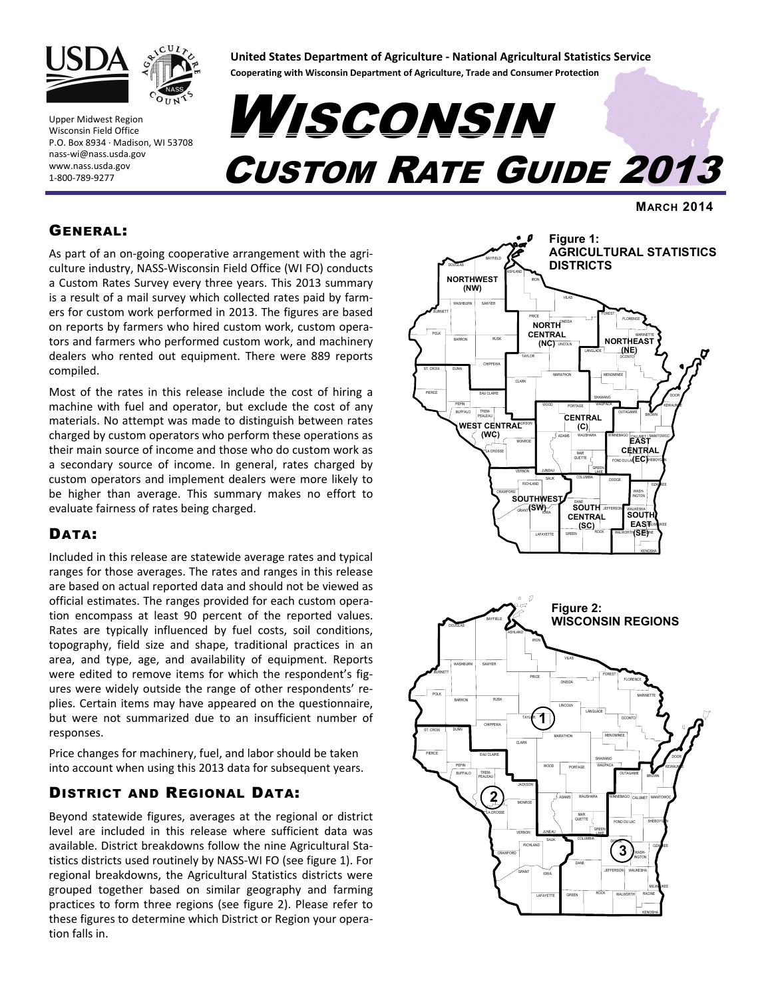

Upper Midwest Region Wisconsin Field Office P.O. Box 8934 ∙ Madison, WI 53708 nass‐wi@nass.usda.gov www.nass.usda.gov 1‐800‐789‐9277

# **United States Department of Agriculture ‐ National Agricultural Statistics Service**

**Cooperating with Wisconsin Department of Agriculture, Trade and Consumer Protection**

# **WISCONSIN<br>CUSTOM RATE GUIDE 2013**

**MARCH 2014** 

## GENERAL:

As part of an on‐going cooperative arrangement with the agri‐ culture industry, NASS‐Wisconsin Field Office (WI FO) conducts a Custom Rates Survey every three years. This 2013 summary is a result of a mail survey which collected rates paid by farm‐ ers for custom work performed in 2013. The figures are based on reports by farmers who hired custom work, custom opera‐ tors and farmers who performed custom work, and machinery dealers who rented out equipment. There were 889 reports compiled.

Most of the rates in this release include the cost of hiring a machine with fuel and operator, but exclude the cost of any materials. No attempt was made to distinguish between rates charged by custom operators who perform these operations as their main source of income and those who do custom work as a secondary source of income. In general, rates charged by custom operators and implement dealers were more likely to be higher than average. This summary makes no effort to evaluate fairness of rates being charged.

# DATA:

Included in this release are statewide average rates and typical ranges for those averages. The rates and ranges in this release are based on actual reported data and should not be viewed as official estimates. The ranges provided for each custom opera‐ tion encompass at least 90 percent of the reported values. Rates are typically influenced by fuel costs, soil conditions, topography, field size and shape, traditional practices in an area, and type, age, and availability of equipment. Reports were edited to remove items for which the respondent's figures were widely outside the range of other respondents' re‐ plies. Certain items may have appeared on the questionnaire, but were not summarized due to an insufficient number of responses.

Price changes for machinery, fuel, and labor should be taken into account when using this 2013 data for subsequent years.

# DISTRICT AND REGIONAL DATA:

Beyond statewide figures, averages at the regional or district level are included in this release where sufficient data was available. District breakdowns follow the nine Agricultural Sta‐ tistics districts used routinely by NASS‐WI FO (see figure 1). For regional breakdowns, the Agricultural Statistics districts were grouped together based on similar geography and farming practices to form three regions (see figure 2). Please refer to these figures to determine which District or Region your opera‐ tion falls in.



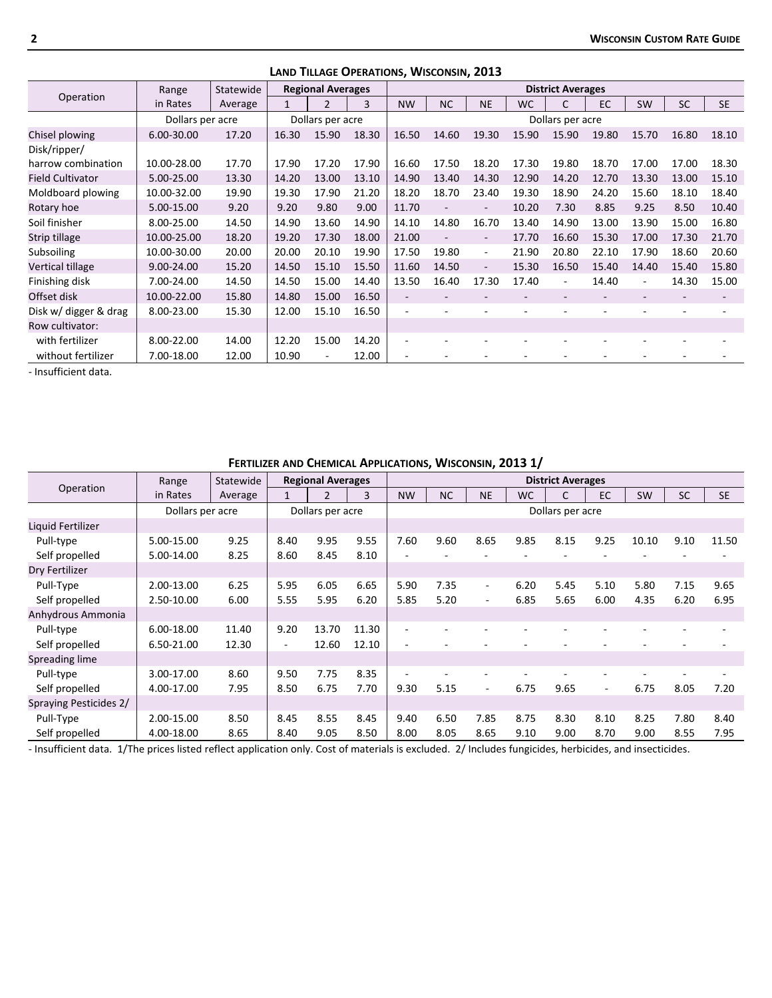|                         |                  |           |       |                          |       | LAIND TILLAUL OF LIVATIONS, VVISCONSIN, LUIS |           |                          |           |                          |       |           |           |           |
|-------------------------|------------------|-----------|-------|--------------------------|-------|----------------------------------------------|-----------|--------------------------|-----------|--------------------------|-------|-----------|-----------|-----------|
|                         | Range            | Statewide |       | <b>Regional Averages</b> |       |                                              |           |                          |           | <b>District Averages</b> |       |           |           |           |
| Operation               | in Rates         | Average   | 1     | $\overline{2}$           | 3     | <b>NW</b>                                    | <b>NC</b> | <b>NE</b>                | <b>WC</b> | C                        | EC    | <b>SW</b> | <b>SC</b> | <b>SE</b> |
|                         | Dollars per acre |           |       | Dollars per acre         |       |                                              |           |                          |           | Dollars per acre         |       |           |           |           |
| Chisel plowing          | 6.00-30.00       | 17.20     | 16.30 | 15.90                    | 18.30 | 16.50                                        | 14.60     | 19.30                    | 15.90     | 15.90                    | 19.80 | 15.70     | 16.80     | 18.10     |
| Disk/ripper/            |                  |           |       |                          |       |                                              |           |                          |           |                          |       |           |           |           |
| harrow combination      | 10.00-28.00      | 17.70     | 17.90 | 17.20                    | 17.90 | 16.60                                        | 17.50     | 18.20                    | 17.30     | 19.80                    | 18.70 | 17.00     | 17.00     | 18.30     |
| <b>Field Cultivator</b> | 5.00-25.00       | 13.30     | 14.20 | 13.00                    | 13.10 | 14.90                                        | 13.40     | 14.30                    | 12.90     | 14.20                    | 12.70 | 13.30     | 13.00     | 15.10     |
| Moldboard plowing       | 10.00-32.00      | 19.90     | 19.30 | 17.90                    | 21.20 | 18.20                                        | 18.70     | 23.40                    | 19.30     | 18.90                    | 24.20 | 15.60     | 18.10     | 18.40     |
| Rotary hoe              | 5.00-15.00       | 9.20      | 9.20  | 9.80                     | 9.00  | 11.70                                        |           | $\overline{\phantom{a}}$ | 10.20     | 7.30                     | 8.85  | 9.25      | 8.50      | 10.40     |
| Soil finisher           | 8.00-25.00       | 14.50     | 14.90 | 13.60                    | 14.90 | 14.10                                        | 14.80     | 16.70                    | 13.40     | 14.90                    | 13.00 | 13.90     | 15.00     | 16.80     |
| Strip tillage           | 10.00-25.00      | 18.20     | 19.20 | 17.30                    | 18.00 | 21.00                                        |           | $\overline{\phantom{0}}$ | 17.70     | 16.60                    | 15.30 | 17.00     | 17.30     | 21.70     |
| Subsoiling              | 10.00-30.00      | 20.00     | 20.00 | 20.10                    | 19.90 | 17.50                                        | 19.80     | $\overline{\phantom{a}}$ | 21.90     | 20.80                    | 22.10 | 17.90     | 18.60     | 20.60     |
| Vertical tillage        | 9.00-24.00       | 15.20     | 14.50 | 15.10                    | 15.50 | 11.60                                        | 14.50     | $\overline{\phantom{a}}$ | 15.30     | 16.50                    | 15.40 | 14.40     | 15.40     | 15.80     |
| Finishing disk          | 7.00-24.00       | 14.50     | 14.50 | 15.00                    | 14.40 | 13.50                                        | 16.40     | 17.30                    | 17.40     | $\overline{\phantom{a}}$ | 14.40 | ٠         | 14.30     | 15.00     |
| Offset disk             | 10.00-22.00      | 15.80     | 14.80 | 15.00                    | 16.50 |                                              |           |                          |           |                          |       |           |           |           |
| Disk w/ digger & drag   | 8.00-23.00       | 15.30     | 12.00 | 15.10                    | 16.50 |                                              |           |                          |           |                          |       |           |           |           |
| Row cultivator:         |                  |           |       |                          |       |                                              |           |                          |           |                          |       |           |           |           |
| with fertilizer         | 8.00-22.00       | 14.00     | 12.20 | 15.00                    | 14.20 |                                              |           |                          |           |                          |       |           |           |           |
| without fertilizer      | 7.00-18.00       | 12.00     | 10.90 |                          | 12.00 |                                              |           |                          |           |                          |       |           |           |           |

**LAND TILLAGE OPERATIONS, WISCONSIN, 2013**

‐ Insufficient data.

|                        |                  | FERTILIZER AND CHEMICAL APPLICATIONS, WISCONSIN, 2013 1/ |      |                          |       |                          |           |           |           |                          |        |           |           |           |
|------------------------|------------------|----------------------------------------------------------|------|--------------------------|-------|--------------------------|-----------|-----------|-----------|--------------------------|--------|-----------|-----------|-----------|
|                        | Range            | Statewide                                                |      | <b>Regional Averages</b> |       |                          |           |           |           | <b>District Averages</b> |        |           |           |           |
| Operation              | in Rates         | Average                                                  |      | $\mathcal{P}$            | 3     | <b>NW</b>                | <b>NC</b> | <b>NE</b> | <b>WC</b> | C                        | EC     | <b>SW</b> | <b>SC</b> | <b>SE</b> |
|                        | Dollars per acre |                                                          |      | Dollars per acre         |       |                          |           |           |           | Dollars per acre         |        |           |           |           |
| Liquid Fertilizer      |                  |                                                          |      |                          |       |                          |           |           |           |                          |        |           |           |           |
| Pull-type              | 5.00-15.00       | 9.25                                                     | 8.40 | 9.95                     | 9.55  | 7.60                     | 9.60      | 8.65      | 9.85      | 8.15                     | 9.25   | 10.10     | 9.10      | 11.50     |
| Self propelled         | 5.00-14.00       | 8.25                                                     | 8.60 | 8.45                     | 8.10  | ٠                        |           |           |           |                          |        |           |           |           |
| Dry Fertilizer         |                  |                                                          |      |                          |       |                          |           |           |           |                          |        |           |           |           |
| Pull-Type              | 2.00-13.00       | 6.25                                                     | 5.95 | 6.05                     | 6.65  | 5.90                     | 7.35      | ۰.        | 6.20      | 5.45                     | 5.10   | 5.80      | 7.15      | 9.65      |
| Self propelled         | 2.50-10.00       | 6.00                                                     | 5.55 | 5.95                     | 6.20  | 5.85                     | 5.20      | Ξ.        | 6.85      | 5.65                     | 6.00   | 4.35      | 6.20      | 6.95      |
| Anhydrous Ammonia      |                  |                                                          |      |                          |       |                          |           |           |           |                          |        |           |           |           |
| Pull-type              | 6.00-18.00       | 11.40                                                    | 9.20 | 13.70                    | 11.30 | $\overline{\phantom{a}}$ |           |           |           |                          |        |           |           |           |
| Self propelled         | 6.50-21.00       | 12.30                                                    |      | 12.60                    | 12.10 | $\overline{a}$           |           |           |           |                          |        |           |           |           |
| Spreading lime         |                  |                                                          |      |                          |       |                          |           |           |           |                          |        |           |           |           |
| Pull-type              | 3.00-17.00       | 8.60                                                     | 9.50 | 7.75                     | 8.35  | ٠                        |           |           |           |                          |        |           |           |           |
| Self propelled         | 4.00-17.00       | 7.95                                                     | 8.50 | 6.75                     | 7.70  | 9.30                     | 5.15      | ۰.        | 6.75      | 9.65                     | $\sim$ | 6.75      | 8.05      | 7.20      |
| Spraying Pesticides 2/ |                  |                                                          |      |                          |       |                          |           |           |           |                          |        |           |           |           |
| Pull-Type              | 2.00-15.00       | 8.50                                                     | 8.45 | 8.55                     | 8.45  | 9.40                     | 6.50      | 7.85      | 8.75      | 8.30                     | 8.10   | 8.25      | 7.80      | 8.40      |
| Self propelled         | 4.00-18.00       | 8.65                                                     | 8.40 | 9.05                     | 8.50  | 8.00                     | 8.05      | 8.65      | 9.10      | 9.00                     | 8.70   | 9.00      | 8.55      | 7.95      |

‐ Insufficient data. 1/The prices listed reflect application only. Cost of materials is excluded. 2/ Includes fungicides, herbicides, and insecticides.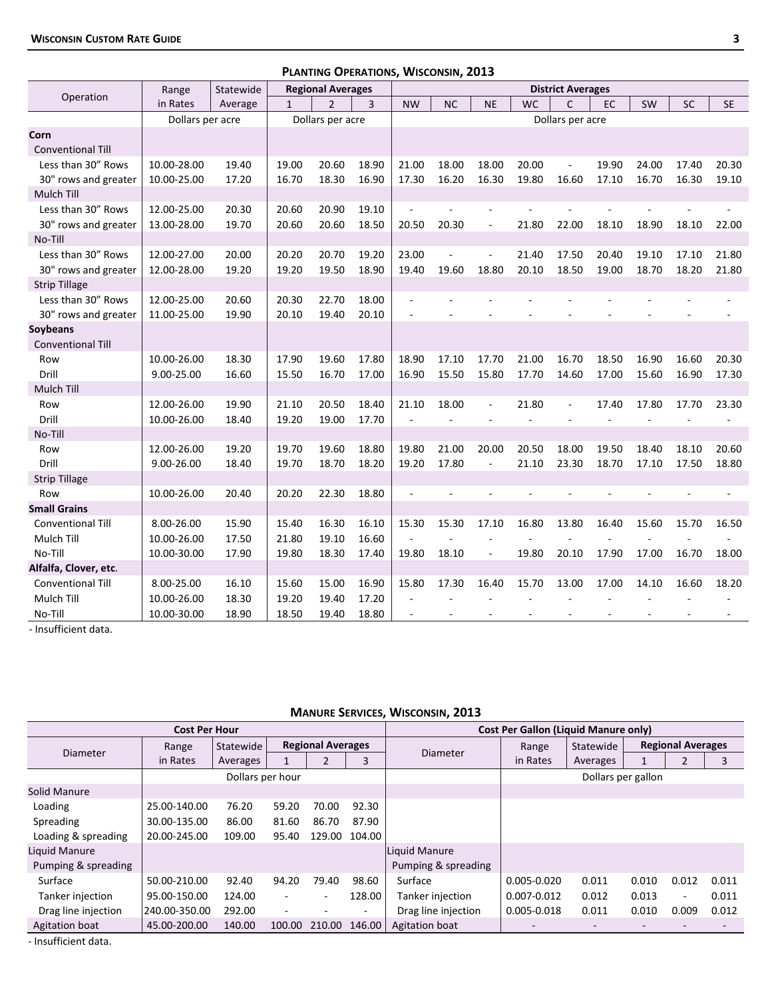|                          |                  |           |              | PLANTING OPERATIONS, WISCONSIN, 2013 |       |                          |                          |                          |           |                          |       |       |           |           |
|--------------------------|------------------|-----------|--------------|--------------------------------------|-------|--------------------------|--------------------------|--------------------------|-----------|--------------------------|-------|-------|-----------|-----------|
| Operation                | Range            | Statewide |              | <b>Regional Averages</b>             |       |                          |                          |                          |           | <b>District Averages</b> |       |       |           |           |
|                          | in Rates         | Average   | $\mathbf{1}$ | $\overline{2}$                       | 3     | <b>NW</b>                | <b>NC</b>                | <b>NE</b>                | <b>WC</b> | $\mathsf{C}$             | EC    | SW    | <b>SC</b> | <b>SE</b> |
|                          | Dollars per acre |           |              | Dollars per acre                     |       |                          |                          |                          |           | Dollars per acre         |       |       |           |           |
| Corn                     |                  |           |              |                                      |       |                          |                          |                          |           |                          |       |       |           |           |
| <b>Conventional Till</b> |                  |           |              |                                      |       |                          |                          |                          |           |                          |       |       |           |           |
| Less than 30" Rows       | 10.00-28.00      | 19.40     | 19.00        | 20.60                                | 18.90 | 21.00                    | 18.00                    | 18.00                    | 20.00     |                          | 19.90 | 24.00 | 17.40     | 20.30     |
| 30" rows and greater     | 10.00-25.00      | 17.20     | 16.70        | 18.30                                | 16.90 | 17.30                    | 16.20                    | 16.30                    | 19.80     | 16.60                    | 17.10 | 16.70 | 16.30     | 19.10     |
| Mulch Till               |                  |           |              |                                      |       |                          |                          |                          |           |                          |       |       |           |           |
| Less than 30" Rows       | 12.00-25.00      | 20.30     | 20.60        | 20.90                                | 19.10 |                          |                          |                          |           |                          |       |       |           |           |
| 30" rows and greater     | 13.00-28.00      | 19.70     | 20.60        | 20.60                                | 18.50 | 20.50                    | 20.30                    | $\overline{\phantom{a}}$ | 21.80     | 22.00                    | 18.10 | 18.90 | 18.10     | 22.00     |
| No-Till                  |                  |           |              |                                      |       |                          |                          |                          |           |                          |       |       |           |           |
| Less than 30" Rows       | 12.00-27.00      | 20.00     | 20.20        | 20.70                                | 19.20 | 23.00                    |                          | ÷,                       | 21.40     | 17.50                    | 20.40 | 19.10 | 17.10     | 21.80     |
| 30" rows and greater     | 12.00-28.00      | 19.20     | 19.20        | 19.50                                | 18.90 | 19.40                    | 19.60                    | 18.80                    | 20.10     | 18.50                    | 19.00 | 18.70 | 18.20     | 21.80     |
| <b>Strip Tillage</b>     |                  |           |              |                                      |       |                          |                          |                          |           |                          |       |       |           |           |
| Less than 30" Rows       | 12.00-25.00      | 20.60     | 20.30        | 22.70                                | 18.00 | ÷,                       |                          |                          |           |                          |       |       |           |           |
| 30" rows and greater     | 11.00-25.00      | 19.90     | 20.10        | 19.40                                | 20.10 |                          |                          |                          |           |                          |       |       |           |           |
| Soybeans                 |                  |           |              |                                      |       |                          |                          |                          |           |                          |       |       |           |           |
| <b>Conventional Till</b> |                  |           |              |                                      |       |                          |                          |                          |           |                          |       |       |           |           |
| Row                      | 10.00-26.00      | 18.30     | 17.90        | 19.60                                | 17.80 | 18.90                    | 17.10                    | 17.70                    | 21.00     | 16.70                    | 18.50 | 16.90 | 16.60     | 20.30     |
| Drill                    | 9.00-25.00       | 16.60     | 15.50        | 16.70                                | 17.00 | 16.90                    | 15.50                    | 15.80                    | 17.70     | 14.60                    | 17.00 | 15.60 | 16.90     | 17.30     |
| Mulch Till               |                  |           |              |                                      |       |                          |                          |                          |           |                          |       |       |           |           |
| Row                      | 12.00-26.00      | 19.90     | 21.10        | 20.50                                | 18.40 | 21.10                    | 18.00                    | $\overline{\phantom{a}}$ | 21.80     | $\overline{\phantom{a}}$ | 17.40 | 17.80 | 17.70     | 23.30     |
| Drill                    | 10.00-26.00      | 18.40     | 19.20        | 19.00                                | 17.70 | $\overline{a}$           | $\sim$                   |                          |           |                          |       |       |           |           |
| No-Till                  |                  |           |              |                                      |       |                          |                          |                          |           |                          |       |       |           |           |
| Row                      | 12.00-26.00      | 19.20     | 19.70        | 19.60                                | 18.80 | 19.80                    | 21.00                    | 20.00                    | 20.50     | 18.00                    | 19.50 | 18.40 | 18.10     | 20.60     |
| Drill                    | 9.00-26.00       | 18.40     | 19.70        | 18.70                                | 18.20 | 19.20                    | 17.80                    | $\overline{\phantom{a}}$ | 21.10     | 23.30                    | 18.70 | 17.10 | 17.50     | 18.80     |
| <b>Strip Tillage</b>     |                  |           |              |                                      |       |                          |                          |                          |           |                          |       |       |           |           |
| Row                      | 10.00-26.00      | 20.40     | 20.20        | 22.30                                | 18.80 | L.                       |                          |                          |           |                          |       |       |           |           |
| <b>Small Grains</b>      |                  |           |              |                                      |       |                          |                          |                          |           |                          |       |       |           |           |
| <b>Conventional Till</b> | 8.00-26.00       | 15.90     | 15.40        | 16.30                                | 16.10 | 15.30                    | 15.30                    | 17.10                    | 16.80     | 13.80                    | 16.40 | 15.60 | 15.70     | 16.50     |
| Mulch Till               | 10.00-26.00      | 17.50     | 21.80        | 19.10                                | 16.60 | $\overline{\phantom{a}}$ | $\overline{\phantom{a}}$ | ÷                        |           |                          |       |       |           |           |
| No-Till                  | 10.00-30.00      | 17.90     | 19.80        | 18.30                                | 17.40 | 19.80                    | 18.10                    | $\overline{\phantom{a}}$ | 19.80     | 20.10                    | 17.90 | 17.00 | 16.70     | 18.00     |
| Alfalfa, Clover, etc.    |                  |           |              |                                      |       |                          |                          |                          |           |                          |       |       |           |           |
| <b>Conventional Till</b> | 8.00-25.00       | 16.10     | 15.60        | 15.00                                | 16.90 | 15.80                    | 17.30                    | 16.40                    | 15.70     | 13.00                    | 17.00 | 14.10 | 16.60     | 18.20     |
| Mulch Till               | 10.00-26.00      | 18.30     | 19.20        | 19.40                                | 17.20 | ÷,                       |                          |                          |           |                          |       |       |           |           |
| No-Till                  | 10.00-30.00      | 18.90     | 18.50        | 19.40                                | 18.80 |                          |                          |                          |           |                          |       |       |           |           |

‐ Insufficient data.

## **MANURE SERVICES, WISCONSIN, 2013**

|                     | <b>Cost Per Hour</b> |                  |        |                          |        |                     | Cost Per Gallon (Liquid Manure only) |                    |       |                          |       |
|---------------------|----------------------|------------------|--------|--------------------------|--------|---------------------|--------------------------------------|--------------------|-------|--------------------------|-------|
|                     | Range                | Statewide        |        | <b>Regional Averages</b> |        |                     | Range                                | Statewide          |       | <b>Regional Averages</b> |       |
| Diameter            | in Rates             | Averages         |        |                          | 3      | Diameter            | in Rates                             | Averages           |       | $\overline{2}$           | 3     |
|                     |                      | Dollars per hour |        |                          |        |                     |                                      | Dollars per gallon |       |                          |       |
| Solid Manure        |                      |                  |        |                          |        |                     |                                      |                    |       |                          |       |
| Loading             | 25.00-140.00         | 76.20            | 59.20  | 70.00                    | 92.30  |                     |                                      |                    |       |                          |       |
| Spreading           | 30.00-135.00         | 86.00            | 81.60  | 86.70                    | 87.90  |                     |                                      |                    |       |                          |       |
| Loading & spreading | 20.00-245.00         | 109.00           | 95.40  | 129.00                   | 104.00 |                     |                                      |                    |       |                          |       |
| Liquid Manure       |                      |                  |        |                          |        | Liquid Manure       |                                      |                    |       |                          |       |
| Pumping & spreading |                      |                  |        |                          |        | Pumping & spreading |                                      |                    |       |                          |       |
| Surface             | 50.00-210.00         | 92.40            | 94.20  | 79.40                    | 98.60  | Surface             | $0.005 - 0.020$                      | 0.011              | 0.010 | 0.012                    | 0.011 |
| Tanker injection    | 95.00-150.00         | 124.00           |        | ۰                        | 128.00 | Tanker injection    | $0.007 - 0.012$                      | 0.012              | 0.013 | $\overline{\phantom{a}}$ | 0.011 |
| Drag line injection | 240.00-350.00        | 292.00           |        |                          | $\sim$ | Drag line injection | $0.005 - 0.018$                      | 0.011              | 0.010 | 0.009                    | 0.012 |
| Agitation boat      | 45.00-200.00         | 140.00           | 100.00 | 210.00                   | 146.00 | Agitation boat      |                                      |                    |       |                          |       |

‐ Insufficient data.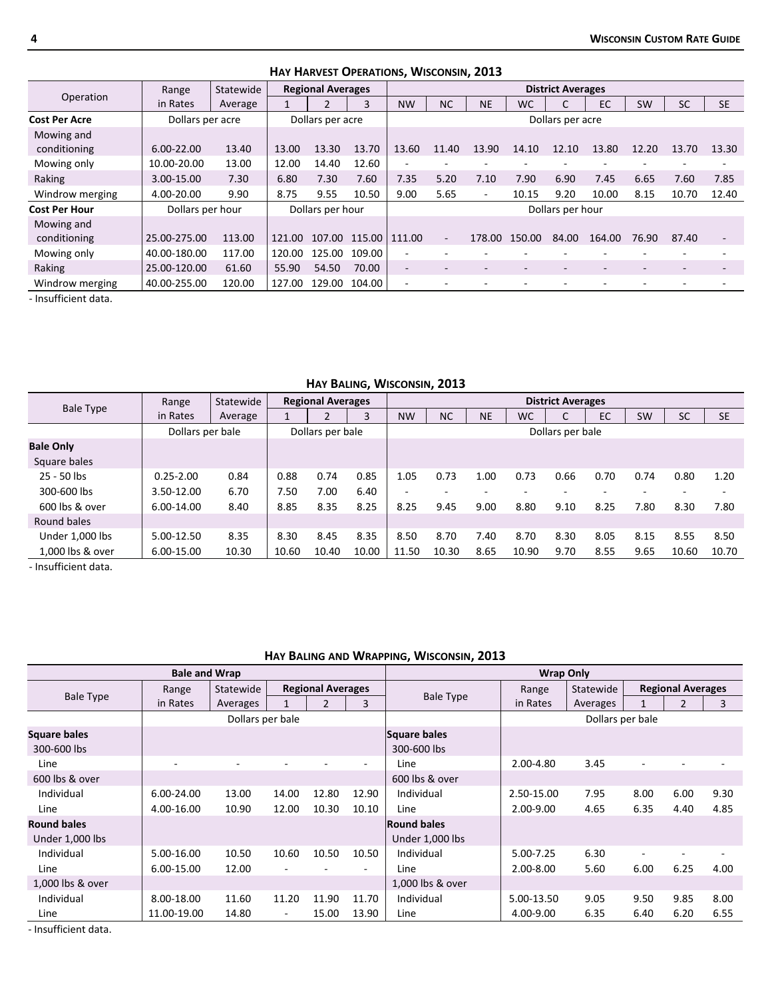|                      |                  |           |        |                          |               | <b>IMI HANVEST OF ENATIONS, VVISCONSIN, EUIS</b> |                          |           |                          |                          |                          |                          |           |                          |
|----------------------|------------------|-----------|--------|--------------------------|---------------|--------------------------------------------------|--------------------------|-----------|--------------------------|--------------------------|--------------------------|--------------------------|-----------|--------------------------|
|                      | Range            | Statewide |        | <b>Regional Averages</b> |               |                                                  |                          |           |                          | <b>District Averages</b> |                          |                          |           |                          |
| Operation            | in Rates         | Average   |        | 2                        | 3             | <b>NW</b>                                        | <b>NC</b>                | <b>NE</b> | <b>WC</b>                |                          | EC                       | <b>SW</b>                | <b>SC</b> | <b>SE</b>                |
| <b>Cost Per Acre</b> | Dollars per acre |           |        | Dollars per acre         |               |                                                  |                          |           |                          | Dollars per acre         |                          |                          |           |                          |
| Mowing and           |                  |           |        |                          |               |                                                  |                          |           |                          |                          |                          |                          |           |                          |
| conditioning         | 6.00-22.00       | 13.40     | 13.00  | 13.30                    | 13.70         | 13.60                                            | 11.40                    | 13.90     | 14.10                    | 12.10                    | 13.80                    | 12.20                    | 13.70     | 13.30                    |
| Mowing only          | 10.00-20.00      | 13.00     | 12.00  | 14.40                    | 12.60         | ۰                                                |                          |           |                          |                          |                          |                          |           |                          |
| Raking               | 3.00-15.00       | 7.30      | 6.80   | 7.30                     | 7.60          | 7.35                                             | 5.20                     | 7.10      | 7.90                     | 6.90                     | 7.45                     | 6.65                     | 7.60      | 7.85                     |
| Windrow merging      | 4.00-20.00       | 9.90      | 8.75   | 9.55                     | 10.50         | 9.00                                             | 5.65                     | ۰.        | 10.15                    | 9.20                     | 10.00                    | 8.15                     | 10.70     | 12.40                    |
| <b>Cost Per Hour</b> | Dollars per hour |           |        | Dollars per hour         |               |                                                  |                          |           |                          | Dollars per hour         |                          |                          |           |                          |
| Mowing and           |                  |           |        |                          |               |                                                  |                          |           |                          |                          |                          |                          |           |                          |
| conditioning         | 25.00-275.00     | 113.00    | 121.00 |                          | 107.00 115.00 | 111.00                                           | $\overline{\phantom{a}}$ | 178.00    | 150.00                   | 84.00                    | 164.00                   | 76.90                    | 87.40     | $\overline{\phantom{a}}$ |
| Mowing only          | 40.00-180.00     | 117.00    | 120.00 | 125.00                   | 109.00        | $\blacksquare$                                   |                          |           |                          |                          |                          |                          |           |                          |
| Raking               | 25.00-120.00     | 61.60     | 55.90  | 54.50                    | 70.00         | $\overline{\phantom{a}}$                         | $\overline{\phantom{a}}$ |           | $\overline{\phantom{a}}$ | $\overline{\phantom{a}}$ | $\overline{\phantom{a}}$ | $\overline{\phantom{a}}$ | -         |                          |
| Windrow merging      | 40.00-255.00     | 120.00    | 127.00 | 129.00                   | 104.00        | ۰                                                |                          |           |                          |                          |                          |                          |           |                          |

**HAY HARVEST OPERATIONS, WISCONSIN, 2013**

‐ Insufficient data.

## **HAY BALING, WISCONSIN, 2013**

|                  | Range            | Statewide |       | <b>Regional Averages</b> |       |                          |           |           |           | <b>District Averages</b> |      |           |           |           |
|------------------|------------------|-----------|-------|--------------------------|-------|--------------------------|-----------|-----------|-----------|--------------------------|------|-----------|-----------|-----------|
| <b>Bale Type</b> | in Rates         | Average   |       |                          |       | <b>NW</b>                | <b>NC</b> | <b>NE</b> | <b>WC</b> | J                        | EC   | <b>SW</b> | <b>SC</b> | <b>SE</b> |
|                  | Dollars per bale |           |       | Dollars per bale         |       |                          |           |           |           | Dollars per bale         |      |           |           |           |
| <b>Bale Only</b> |                  |           |       |                          |       |                          |           |           |           |                          |      |           |           |           |
| Square bales     |                  |           |       |                          |       |                          |           |           |           |                          |      |           |           |           |
| 25 - 50 lbs      | $0.25 - 2.00$    | 0.84      | 0.88  | 0.74                     | 0.85  | 1.05                     | 0.73      | 1.00      | 0.73      | 0.66                     | 0.70 | 0.74      | 0.80      | 1.20      |
| 300-600 lbs      | 3.50-12.00       | 6.70      | 7.50  | 7.00                     | 6.40  | $\overline{\phantom{a}}$ |           |           |           |                          |      |           |           |           |
| 600 lbs & over   | 6.00-14.00       | 8.40      | 8.85  | 8.35                     | 8.25  | 8.25                     | 9.45      | 9.00      | 8.80      | 9.10                     | 8.25 | 7.80      | 8.30      | 7.80      |
| Round bales      |                  |           |       |                          |       |                          |           |           |           |                          |      |           |           |           |
| Under 1,000 lbs  | 5.00-12.50       | 8.35      | 8.30  | 8.45                     | 8.35  | 8.50                     | 8.70      | 7.40      | 8.70      | 8.30                     | 8.05 | 8.15      | 8.55      | 8.50      |
| 1,000 lbs & over | 6.00-15.00       | 10.30     | 10.60 | 10.40                    | 10.00 | 11.50                    | 10.30     | 8.65      | 10.90     | 9.70                     | 8.55 | 9.65      | 10.60     | 10.70     |

‐ Insufficient data.

## **HAY BALING AND WRAPPING, WISCONSIN, 2013**

|                     | <b>Bale and Wrap</b><br><b>Regional Averages</b><br>Statewide<br>Range<br>in Rates<br>Averages<br>$\mathfrak z$<br>Dollars per bale<br>6.00-24.00<br>13.00<br>14.00<br>12.80<br>10.90<br>10.30<br>4.00-16.00<br>12.00 |       |       |       | <b>Wrap Only</b>         |                    |               |                  |        |                          |      |
|---------------------|-----------------------------------------------------------------------------------------------------------------------------------------------------------------------------------------------------------------------|-------|-------|-------|--------------------------|--------------------|---------------|------------------|--------|--------------------------|------|
|                     |                                                                                                                                                                                                                       |       |       |       |                          |                    | Range         | Statewide        |        | <b>Regional Averages</b> |      |
| <b>Bale Type</b>    |                                                                                                                                                                                                                       |       |       |       | 3                        | Bale Type          | in Rates      | Averages         |        | $\overline{2}$           | 3    |
|                     |                                                                                                                                                                                                                       |       |       |       |                          |                    |               | Dollars per bale |        |                          |      |
| <b>Square bales</b> |                                                                                                                                                                                                                       |       |       |       |                          | Square bales       |               |                  |        |                          |      |
| 300-600 lbs         |                                                                                                                                                                                                                       |       |       |       |                          | 300-600 lbs        |               |                  |        |                          |      |
| Line                |                                                                                                                                                                                                                       |       |       |       | $\overline{\phantom{a}}$ | Line               | 2.00-4.80     | 3.45             | $\sim$ |                          |      |
| 600 lbs & over      |                                                                                                                                                                                                                       |       |       |       |                          | 600 lbs & over     |               |                  |        |                          |      |
| Individual          |                                                                                                                                                                                                                       |       |       |       | 12.90                    | Individual         | 2.50-15.00    | 7.95             | 8.00   | 6.00                     | 9.30 |
| Line                |                                                                                                                                                                                                                       |       |       |       | 10.10                    | Line               | $2.00 - 9.00$ | 4.65             | 6.35   | 4.40                     | 4.85 |
| <b>Round bales</b>  |                                                                                                                                                                                                                       |       |       |       |                          | <b>Round bales</b> |               |                  |        |                          |      |
| Under 1,000 lbs     |                                                                                                                                                                                                                       |       |       |       |                          | Under 1,000 lbs    |               |                  |        |                          |      |
| Individual          | 5.00-16.00                                                                                                                                                                                                            | 10.50 | 10.60 | 10.50 | 10.50                    | Individual         | 5.00-7.25     | 6.30             | ٠      |                          |      |
| Line                | 6.00-15.00                                                                                                                                                                                                            | 12.00 |       |       | ۰                        | Line               | 2.00-8.00     | 5.60             | 6.00   | 6.25                     | 4.00 |
| 1,000 lbs & over    |                                                                                                                                                                                                                       |       |       |       |                          | 1,000 lbs & over   |               |                  |        |                          |      |
| Individual          | 8.00-18.00                                                                                                                                                                                                            | 11.60 | 11.20 | 11.90 | 11.70                    | Individual         | 5.00-13.50    | 9.05             | 9.50   | 9.85                     | 8.00 |
| Line                | 11.00-19.00                                                                                                                                                                                                           | 14.80 | ۰     | 15.00 | 13.90                    | Line               | 4.00-9.00     | 6.35             | 6.40   | 6.20                     | 6.55 |

‐ Insufficient data.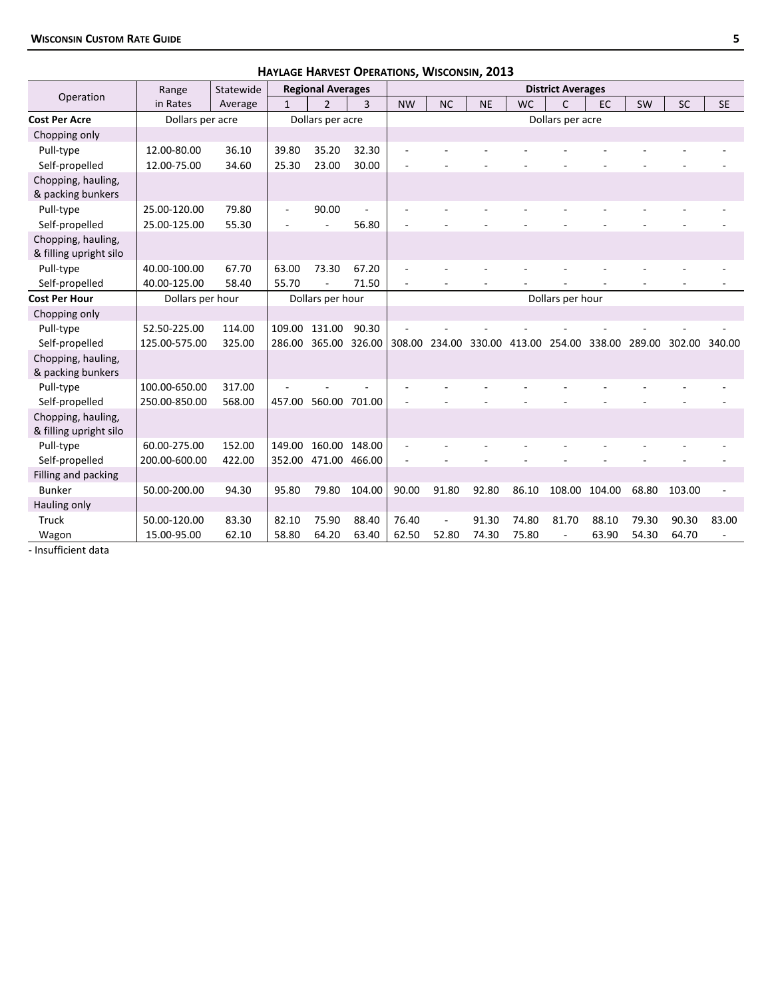|                                              |                  |           |              | HAYLAGE HARVEST OPERATIONS, WISCONSIN, 2013 |        |           |                      |           |           |                          |       |           |               |           |
|----------------------------------------------|------------------|-----------|--------------|---------------------------------------------|--------|-----------|----------------------|-----------|-----------|--------------------------|-------|-----------|---------------|-----------|
|                                              | Range            | Statewide |              | <b>Regional Averages</b>                    |        |           |                      |           |           | <b>District Averages</b> |       |           |               |           |
| Operation                                    | in Rates         | Average   | $\mathbf{1}$ | $\overline{2}$                              | 3      | <b>NW</b> | <b>NC</b>            | <b>NE</b> | <b>WC</b> | $\mathsf{C}$             | EC    | <b>SW</b> | <b>SC</b>     | <b>SE</b> |
| <b>Cost Per Acre</b>                         | Dollars per acre |           |              | Dollars per acre                            |        |           |                      |           |           | Dollars per acre         |       |           |               |           |
| Chopping only                                |                  |           |              |                                             |        |           |                      |           |           |                          |       |           |               |           |
| Pull-type                                    | 12.00-80.00      | 36.10     | 39.80        | 35.20                                       | 32.30  |           |                      |           |           |                          |       |           |               |           |
| Self-propelled                               | 12.00-75.00      | 34.60     | 25.30        | 23.00                                       | 30.00  |           |                      |           |           |                          |       |           |               |           |
| Chopping, hauling,<br>& packing bunkers      |                  |           |              |                                             |        |           |                      |           |           |                          |       |           |               |           |
| Pull-type                                    | 25.00-120.00     | 79.80     |              | 90.00                                       |        |           |                      |           |           |                          |       |           |               |           |
| Self-propelled                               | 25.00-125.00     | 55.30     |              |                                             | 56.80  |           |                      |           |           |                          |       |           |               |           |
| Chopping, hauling,<br>& filling upright silo |                  |           |              |                                             |        |           |                      |           |           |                          |       |           |               |           |
| Pull-type                                    | 40.00-100.00     | 67.70     | 63.00        | 73.30                                       | 67.20  |           |                      |           |           |                          |       |           |               |           |
| Self-propelled                               | 40.00-125.00     | 58.40     | 55.70        |                                             | 71.50  |           |                      |           |           |                          |       |           |               |           |
| <b>Cost Per Hour</b>                         | Dollars per hour |           |              | Dollars per hour                            |        |           |                      |           |           | Dollars per hour         |       |           |               |           |
| Chopping only                                |                  |           |              |                                             |        |           |                      |           |           |                          |       |           |               |           |
| Pull-type                                    | 52.50-225.00     | 114.00    | 109.00       | 131.00                                      | 90.30  |           |                      |           |           |                          |       |           |               |           |
| Self-propelled                               | 125.00-575.00    | 325.00    | 286.00       | 365.00 326.00                               |        |           | 308.00 234.00 330.00 |           |           | 413.00 254.00 338.00     |       |           | 289.00 302.00 | 340.00    |
| Chopping, hauling,<br>& packing bunkers      |                  |           |              |                                             |        |           |                      |           |           |                          |       |           |               |           |
| Pull-type                                    | 100.00-650.00    | 317.00    |              |                                             |        |           |                      |           |           |                          |       |           |               |           |
| Self-propelled                               | 250.00-850.00    | 568.00    | 457.00       | 560.00                                      | 701.00 |           |                      |           |           |                          |       |           |               |           |
| Chopping, hauling,<br>& filling upright silo |                  |           |              |                                             |        |           |                      |           |           |                          |       |           |               |           |
| Pull-type                                    | 60.00-275.00     | 152.00    | 149.00       | 160.00 148.00                               |        |           |                      |           |           |                          |       |           |               |           |
| Self-propelled                               | 200.00-600.00    | 422.00    | 352.00       | 471.00 466.00                               |        |           |                      |           |           |                          |       |           |               |           |
| Filling and packing                          |                  |           |              |                                             |        |           |                      |           |           |                          |       |           |               |           |
| <b>Bunker</b>                                | 50.00-200.00     | 94.30     | 95.80        | 79.80                                       | 104.00 | 90.00     | 91.80                | 92.80     | 86.10     | 108.00 104.00            |       | 68.80     | 103.00        |           |
| Hauling only                                 |                  |           |              |                                             |        |           |                      |           |           |                          |       |           |               |           |
| Truck                                        | 50.00-120.00     | 83.30     | 82.10        | 75.90                                       | 88.40  | 76.40     |                      | 91.30     | 74.80     | 81.70                    | 88.10 | 79.30     | 90.30         | 83.00     |
| Wagon                                        | 15.00-95.00      | 62.10     | 58.80        | 64.20                                       | 63.40  | 62.50     | 52.80                | 74.30     | 75.80     | $\overline{\phantom{a}}$ | 63.90 | 54.30     | 64.70         |           |

‐ Insufficient data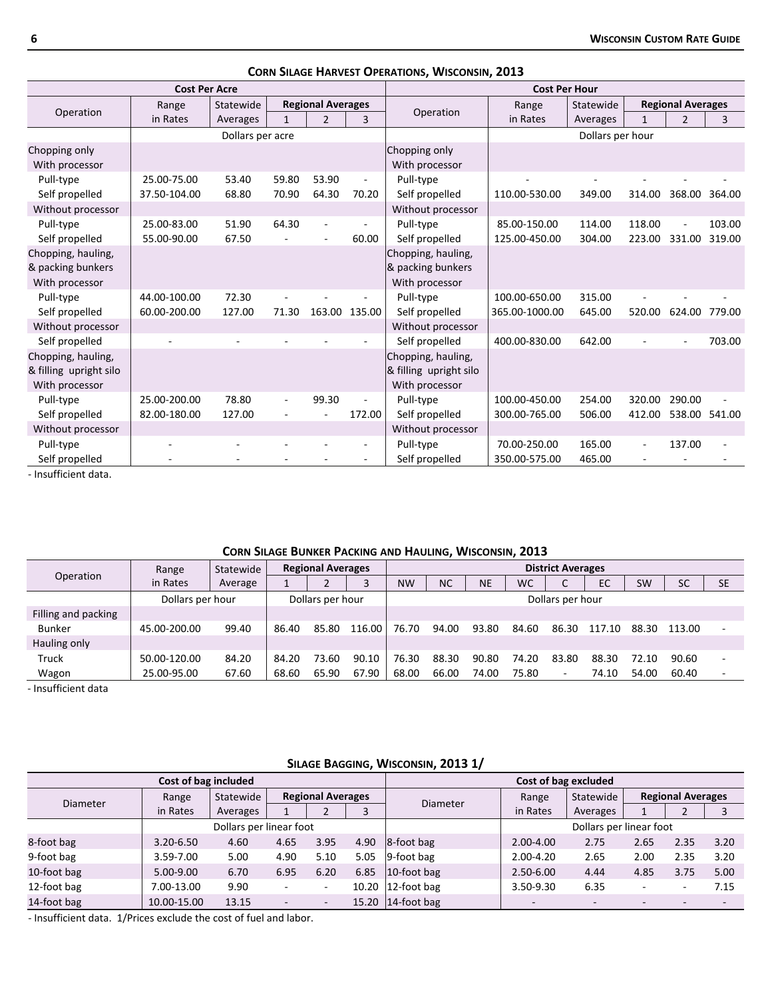|                        | <b>Cost Per Acre</b> |                  |              |                          |        |                        | <b>Cost Per Hour</b> |                  |                          |                          |        |
|------------------------|----------------------|------------------|--------------|--------------------------|--------|------------------------|----------------------|------------------|--------------------------|--------------------------|--------|
| Operation              | Range                | Statewide        |              | <b>Regional Averages</b> |        | Operation              | Range                | Statewide        |                          | <b>Regional Averages</b> |        |
|                        | in Rates             | Averages         | $\mathbf{1}$ | $\overline{2}$           | 3      |                        | in Rates             | Averages         | $\mathbf{1}$             | $\overline{2}$           | 3      |
|                        |                      | Dollars per acre |              |                          |        |                        |                      | Dollars per hour |                          |                          |        |
| Chopping only          |                      |                  |              |                          |        | Chopping only          |                      |                  |                          |                          |        |
| With processor         |                      |                  |              |                          |        | With processor         |                      |                  |                          |                          |        |
| Pull-type              | 25.00-75.00          | 53.40            | 59.80        | 53.90                    | $\sim$ | Pull-type              |                      |                  |                          |                          |        |
| Self propelled         | 37.50-104.00         | 68.80            | 70.90        | 64.30                    | 70.20  | Self propelled         | 110.00-530.00        | 349.00           | 314.00                   | 368.00                   | 364.00 |
| Without processor      |                      |                  |              |                          |        | Without processor      |                      |                  |                          |                          |        |
| Pull-type              | 25.00-83.00          | 51.90            | 64.30        |                          |        | Pull-type              | 85.00-150.00         | 114.00           | 118.00                   |                          | 103.00 |
| Self propelled         | 55.00-90.00          | 67.50            |              |                          | 60.00  | Self propelled         | 125.00-450.00        | 304.00           | 223.00                   | 331.00                   | 319.00 |
| Chopping, hauling,     |                      |                  |              |                          |        | Chopping, hauling,     |                      |                  |                          |                          |        |
| & packing bunkers      |                      |                  |              |                          |        | & packing bunkers      |                      |                  |                          |                          |        |
| With processor         |                      |                  |              |                          |        | With processor         |                      |                  |                          |                          |        |
| Pull-type              | 44.00-100.00         | 72.30            |              |                          |        | Pull-type              | 100.00-650.00        | 315.00           |                          |                          |        |
| Self propelled         | 60.00-200.00         | 127.00           | 71.30        | 163.00 135.00            |        | Self propelled         | 365.00-1000.00       | 645.00           | 520.00                   | 624.00                   | 779.00 |
| Without processor      |                      |                  |              |                          |        | Without processor      |                      |                  |                          |                          |        |
| Self propelled         |                      |                  |              |                          |        | Self propelled         | 400.00-830.00        | 642.00           |                          |                          | 703.00 |
| Chopping, hauling,     |                      |                  |              |                          |        | Chopping, hauling,     |                      |                  |                          |                          |        |
| & filling upright silo |                      |                  |              |                          |        | & filling upright silo |                      |                  |                          |                          |        |
| With processor         |                      |                  |              |                          |        | With processor         |                      |                  |                          |                          |        |
| Pull-type              | 25.00-200.00         | 78.80            |              | 99.30                    |        | Pull-type              | 100.00-450.00        | 254.00           | 320.00                   | 290.00                   |        |
| Self propelled         | 82.00-180.00         | 127.00           |              |                          | 172.00 | Self propelled         | 300.00-765.00        | 506.00           | 412.00                   | 538.00                   | 541.00 |
| Without processor      |                      |                  |              |                          |        | Without processor      |                      |                  |                          |                          |        |
| Pull-type              |                      |                  |              |                          |        | Pull-type              | 70.00-250.00         | 165.00           | $\overline{\phantom{a}}$ | 137.00                   |        |
| Self propelled         |                      |                  |              |                          |        | Self propelled         | 350.00-575.00        | 465.00           |                          |                          |        |

**CORN SILAGE HARVEST OPERATIONS, WISCONSIN, 2013**

‐ Insufficient data.

# **CORN SILAGE BUNKER PACKING AND HAULING, WISCONSIN, 2013**

|                     | Range            | Statewide |       | <b>Regional Averages</b> |        |           |           |       |       | <b>District Averages</b> |        |       |           |           |
|---------------------|------------------|-----------|-------|--------------------------|--------|-----------|-----------|-------|-------|--------------------------|--------|-------|-----------|-----------|
| Operation           | in Rates         | Average   |       |                          |        | <b>NW</b> | <b>NC</b> | NE    | WС    | r<br>◡                   | EC     | SW    | <b>SC</b> | <b>SE</b> |
|                     | Dollars per hour |           |       | Dollars per hour         |        |           |           |       |       | Dollars per hour         |        |       |           |           |
| Filling and packing |                  |           |       |                          |        |           |           |       |       |                          |        |       |           |           |
| <b>Bunker</b>       | 45.00-200.00     | 99.40     | 86.40 | 85.80                    | 116.00 | 76.70     | 94.00     | 93.80 | 84.60 | 86.30                    | 117.10 | 88.30 | 113.00    |           |
| Hauling only        |                  |           |       |                          |        |           |           |       |       |                          |        |       |           |           |
| Truck               | 50.00-120.00     | 84.20     | 84.20 | 73.60                    | 90.10  | 76.30     | 88.30     | 90.80 | 74.20 | 83.80                    | 88.30  | 72.10 | 90.60     |           |
| Wagon               | 25.00-95.00      | 67.60     | 68.60 | 65.90                    | 67.90  | 68.00     | 66.00     | 74.00 | 75.80 | ۰                        | 74.10  | 54.00 | 60.40     | -         |

‐ Insufficient data

|             |                      |                         |                          |                          |      | SILAGE BAGGING, WISCONSIN, 2013 1/ |                      |                         |                          |                          |      |
|-------------|----------------------|-------------------------|--------------------------|--------------------------|------|------------------------------------|----------------------|-------------------------|--------------------------|--------------------------|------|
|             | Cost of bag included |                         |                          |                          |      |                                    | Cost of bag excluded |                         |                          |                          |      |
| Diameter    | Range                | Statewide               |                          | <b>Regional Averages</b> |      | <b>Diameter</b>                    | Range                | Statewide               |                          | <b>Regional Averages</b> |      |
|             | in Rates             | Averages                |                          |                          |      |                                    | in Rates             | Averages                |                          |                          |      |
|             |                      | Dollars per linear foot |                          |                          |      |                                    |                      | Dollars per linear foot |                          |                          |      |
| 8-foot bag  | $3.20 - 6.50$        | 4.60                    | 4.65                     | 3.95                     | 4.90 | 8-foot bag                         | 2.00-4.00            | 2.75                    | 2.65                     | 2.35                     | 3.20 |
| 9-foot bag  | 3.59-7.00            | 5.00                    | 4.90                     | 5.10                     | 5.05 | 9-foot bag                         | $2.00 - 4.20$        | 2.65                    | 2.00                     | 2.35                     | 3.20 |
| 10-foot bag | 5.00-9.00            | 6.70                    | 6.95                     | 6.20                     | 6.85 | 10-foot bag                        | 2.50-6.00            | 4.44                    | 4.85                     | 3.75                     | 5.00 |
| 12-foot bag | 7.00-13.00           | 9.90                    |                          | ۰                        |      | 10.20 $ 12$ -foot bag              | 3.50-9.30            | 6.35                    | $\overline{\phantom{a}}$ |                          | 7.15 |
| 14-foot bag | 10.00-15.00          | 13.15                   | $\overline{\phantom{0}}$ | $\overline{\phantom{a}}$ |      | 15.20 $\vert$ 14-foot bag          |                      |                         |                          |                          |      |

‐ Insufficient data. 1/Prices exclude the cost of fuel and labor.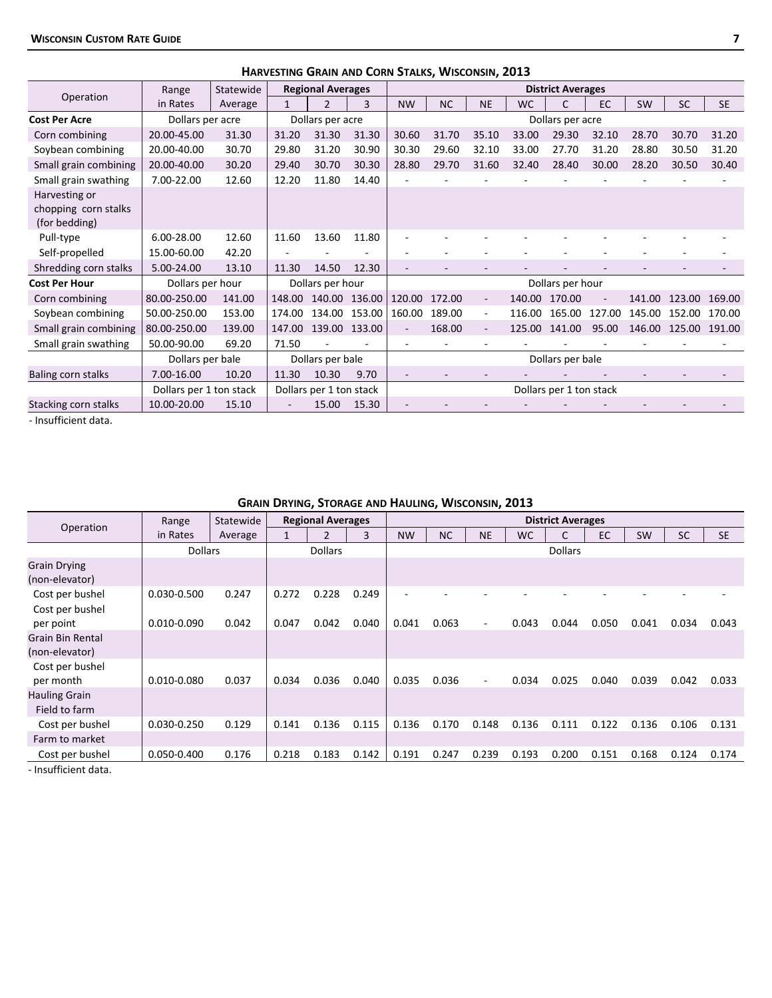|                                       |                         |           | HARVESTING GRAIN AND CORN STALKS, WISCONSIN, 2013 |                          |        |           |           |                          |           |                          |        |           |           |           |
|---------------------------------------|-------------------------|-----------|---------------------------------------------------|--------------------------|--------|-----------|-----------|--------------------------|-----------|--------------------------|--------|-----------|-----------|-----------|
|                                       | Range                   | Statewide |                                                   | <b>Regional Averages</b> |        |           |           |                          |           | <b>District Averages</b> |        |           |           |           |
| Operation                             | in Rates                | Average   | $\mathbf{1}$                                      | $\overline{2}$           | 3      | <b>NW</b> | <b>NC</b> | <b>NE</b>                | <b>WC</b> | C                        | EC     | <b>SW</b> | <b>SC</b> | <b>SE</b> |
| <b>Cost Per Acre</b>                  | Dollars per acre        |           |                                                   | Dollars per acre         |        |           |           |                          |           | Dollars per acre         |        |           |           |           |
| Corn combining                        | 20.00-45.00             | 31.30     | 31.20                                             | 31.30                    | 31.30  | 30.60     | 31.70     | 35.10                    | 33.00     | 29.30                    | 32.10  | 28.70     | 30.70     | 31.20     |
| Soybean combining                     | 20.00-40.00             | 30.70     | 29.80                                             | 31.20                    | 30.90  | 30.30     | 29.60     | 32.10                    | 33.00     | 27.70                    | 31.20  | 28.80     | 30.50     | 31.20     |
| Small grain combining                 | 20.00-40.00             | 30.20     | 29.40                                             | 30.70                    | 30.30  | 28.80     | 29.70     | 31.60                    | 32.40     | 28.40                    | 30.00  | 28.20     | 30.50     | 30.40     |
| Small grain swathing                  | 7.00-22.00              | 12.60     | 12.20                                             | 11.80                    | 14.40  |           |           |                          |           |                          |        |           |           |           |
| Harvesting or                         |                         |           |                                                   |                          |        |           |           |                          |           |                          |        |           |           |           |
| chopping corn stalks<br>(for bedding) |                         |           |                                                   |                          |        |           |           |                          |           |                          |        |           |           |           |
| Pull-type                             | 6.00-28.00              | 12.60     | 11.60                                             | 13.60                    | 11.80  |           |           |                          |           |                          |        |           |           |           |
| Self-propelled                        | 15.00-60.00             | 42.20     |                                                   |                          |        |           |           |                          |           |                          |        |           |           |           |
| Shredding corn stalks                 | 5.00-24.00              | 13.10     | 11.30                                             | 14.50                    | 12.30  |           |           |                          |           |                          |        |           |           |           |
| <b>Cost Per Hour</b>                  | Dollars per hour        |           |                                                   | Dollars per hour         |        |           |           |                          |           | Dollars per hour         |        |           |           |           |
| Corn combining                        | 80.00-250.00            | 141.00    | 148.00                                            | 140.00 136.00            |        | 120.00    | 172.00    | $\blacksquare$           | 140.00    | 170.00                   |        | 141.00    | 123.00    | 169.00    |
| Soybean combining                     | 50.00-250.00            | 153.00    | 174.00                                            | 134.00                   | 153.00 | 160.00    | 189.00    | $\overline{\phantom{a}}$ | 116.00    | 165.00                   | 127.00 | 145.00    | 152.00    | 170.00    |
| Small grain combining                 | 80.00-250.00            | 139.00    | 147.00                                            | 139.00 133.00            |        |           | 168.00    |                          | 125.00    | 141.00                   | 95.00  | 146.00    | 125.00    | 191.00    |
| Small grain swathing                  | 50.00-90.00             | 69.20     | 71.50                                             |                          |        |           |           |                          |           |                          |        |           |           |           |
|                                       | Dollars per bale        |           |                                                   | Dollars per bale         |        |           |           |                          |           | Dollars per bale         |        |           |           |           |
| Baling corn stalks                    | 7.00-16.00              | 10.20     | 11.30                                             | 10.30                    | 9.70   |           |           |                          |           |                          |        |           |           |           |
|                                       | Dollars per 1 ton stack |           |                                                   | Dollars per 1 ton stack  |        |           |           |                          |           | Dollars per 1 ton stack  |        |           |           |           |
| Stacking corn stalks                  | 10.00-20.00             | 15.10     |                                                   | 15.00                    | 15.30  |           |           |                          |           |                          |        |           |           |           |

‐ Insufficient data.

# **GRAIN DRYING, STORAGE AND HAULING, WISCONSIN, 2013**

| Operation                                 | Range           | Statewide | <b>Regional Averages</b> |                |       | <b>District Averages</b> |           |                          |           |                |       |           |           |           |
|-------------------------------------------|-----------------|-----------|--------------------------|----------------|-------|--------------------------|-----------|--------------------------|-----------|----------------|-------|-----------|-----------|-----------|
|                                           | in Rates        | Average   | 1                        | $\overline{2}$ | 3     | <b>NW</b>                | <b>NC</b> | <b>NE</b>                | <b>WC</b> | C              | EC    | <b>SW</b> | <b>SC</b> | <b>SE</b> |
|                                           | <b>Dollars</b>  |           |                          | <b>Dollars</b> |       |                          |           |                          |           | <b>Dollars</b> |       |           |           |           |
| <b>Grain Drying</b><br>(non-elevator)     |                 |           |                          |                |       |                          |           |                          |           |                |       |           |           |           |
| Cost per bushel<br>Cost per bushel        | 0.030-0.500     | 0.247     | 0.272                    | 0.228          | 0.249 |                          |           |                          |           |                |       |           |           |           |
| per point                                 | $0.010 - 0.090$ | 0.042     | 0.047                    | 0.042          | 0.040 | 0.041                    | 0.063     | $\overline{\phantom{0}}$ | 0.043     | 0.044          | 0.050 | 0.041     | 0.034     | 0.043     |
| <b>Grain Bin Rental</b><br>(non-elevator) |                 |           |                          |                |       |                          |           |                          |           |                |       |           |           |           |
| Cost per bushel<br>per month              | 0.010-0.080     | 0.037     | 0.034                    | 0.036          | 0.040 | 0.035                    | 0.036     | $\overline{\phantom{0}}$ | 0.034     | 0.025          | 0.040 | 0.039     | 0.042     | 0.033     |
| <b>Hauling Grain</b><br>Field to farm     |                 |           |                          |                |       |                          |           |                          |           |                |       |           |           |           |
| Cost per bushel                           | 0.030-0.250     | 0.129     | 0.141                    | 0.136          | 0.115 | 0.136                    | 0.170     | 0.148                    | 0.136     | 0.111          | 0.122 | 0.136     | 0.106     | 0.131     |
| Farm to market                            |                 |           |                          |                |       |                          |           |                          |           |                |       |           |           |           |
| Cost per bushel                           | 0.050-0.400     | 0.176     | 0.218                    | 0.183          | 0.142 | 0.191                    | 0.247     | 0.239                    | 0.193     | 0.200          | 0.151 | 0.168     | 0.124     | 0.174     |

‐ Insufficient data.